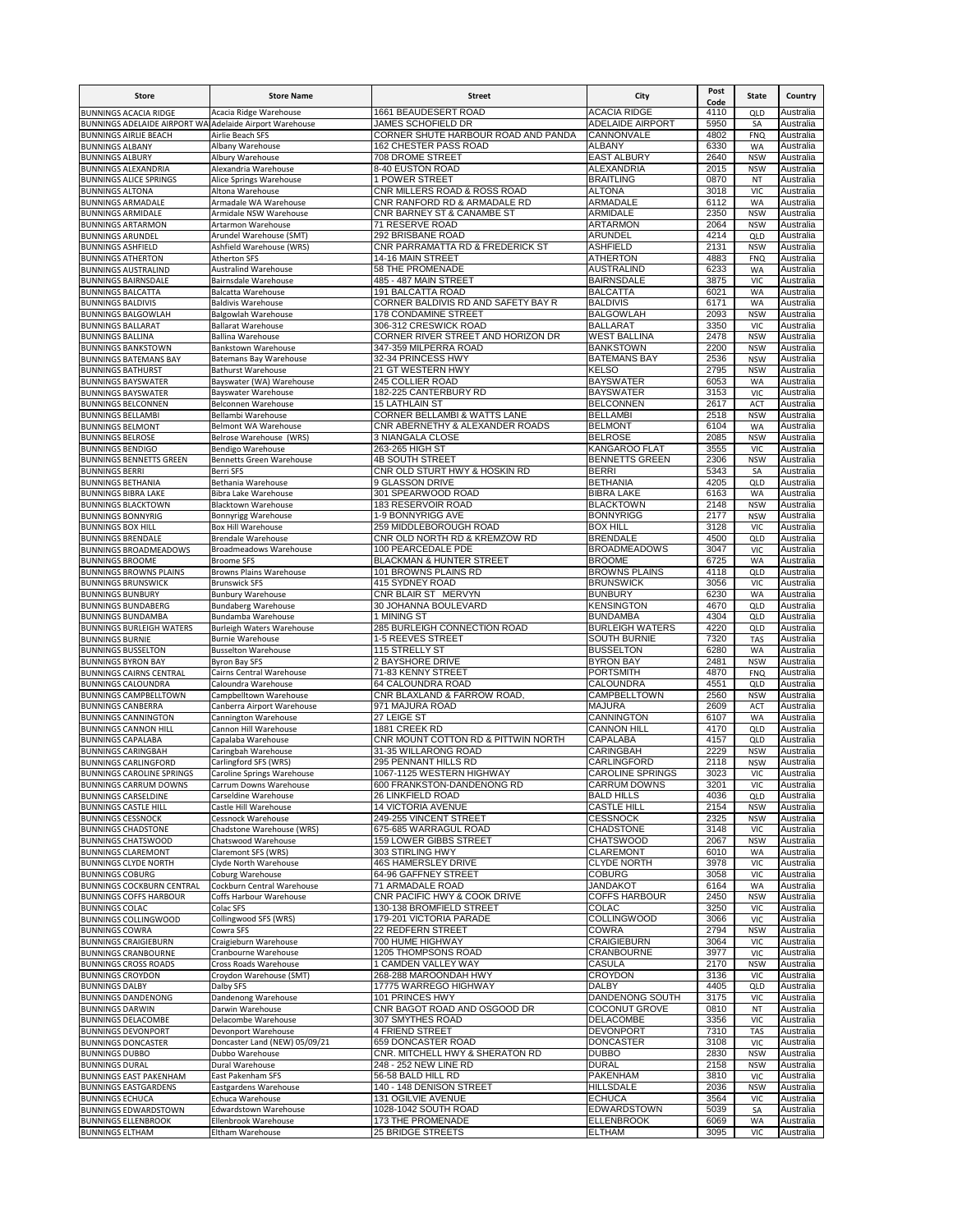| <b>Store</b>                                                | <b>Store Name</b>                                           | <b>Street</b>                                               | City                                      | Post         | <b>State</b>             | Country                |
|-------------------------------------------------------------|-------------------------------------------------------------|-------------------------------------------------------------|-------------------------------------------|--------------|--------------------------|------------------------|
| <b>BUNNINGS ACACIA RIDGE</b>                                | Acacia Ridge Warehouse                                      | 1661 BEAUDESERT ROAD                                        | <b>ACACIA RIDGE</b>                       | Code<br>4110 |                          | Australia              |
| <b>BUNNINGS ADELAIDE AIRPORT WA</b>                         | Adelaide Airport Warehouse                                  | JAMES SCHOFIELD DR                                          | <b>ADELAIDE AIRPORT</b>                   | 5950         | QLD<br>SA                | Australia              |
| <b>BUNNINGS AIRLIE BEACH</b>                                | Airlie Beach SFS                                            | CORNER SHUTE HARBOUR ROAD AND PANDA                         | CANNONVALE                                | 4802         | <b>FNQ</b>               | Australia              |
| <b>BUNNINGS ALBANY</b>                                      | Albany Warehouse                                            | 162 CHESTER PASS ROAD                                       | <b>ALBANY</b>                             | 6330         | <b>WA</b>                | Australia              |
| <b>BUNNINGS ALBURY</b>                                      | Albury Warehouse                                            | 708 DROME STREET                                            | <b>EAST ALBURY</b>                        | 2640         | <b>NSW</b>               | Australia              |
| <b>BUNNINGS ALEXANDRIA</b>                                  | Alexandria Warehouse                                        | 8-40 EUSTON ROAD                                            | ALEXANDRIA                                | 2015         | <b>NSW</b>               | Australia              |
| <b>BUNNINGS ALICE SPRINGS</b>                               | Alice Springs Warehouse                                     | 1 POWER STREET                                              | <b>BRAITLING</b>                          | 0870         | NT                       | Australia              |
| <b>BUNNINGS ALTONA</b>                                      | Altona Warehouse                                            | CNR MILLERS ROAD & ROSS ROAD                                | <b>ALTONA</b>                             | 3018         | <b>VIC</b>               | Australia              |
| <b>BUNNINGS ARMADALE</b><br><b>BUNNINGS ARMIDALE</b>        | Armadale WA Warehouse<br>Armidale NSW Warehouse             | CNR RANFORD RD & ARMADALE RD<br>CNR BARNEY ST & CANAMBE ST  | ARMADALE<br>ARMIDALE                      | 6112<br>2350 | <b>WA</b><br><b>NSW</b>  | Australia<br>Australia |
| <b>BUNNINGS ARTARMON</b>                                    | Artarmon Warehouse                                          | 71 RESERVE ROAD                                             | <b>ARTARMON</b>                           | 2064         | <b>NSW</b>               | Australia              |
| <b>BUNNINGS ARUNDEL</b>                                     | Arundel Warehouse (SMT)                                     | 292 BRISBANE ROAD                                           | ARUNDEL                                   | 4214         | QLD                      | Australia              |
| <b>BUNNINGS ASHFIELD</b>                                    | Ashfield Warehouse (WRS)                                    | CNR PARRAMATTA RD & FREDERICK ST                            | <b>ASHFIELD</b>                           | 2131         | <b>NSW</b>               | Australia              |
| <b>BUNNINGS ATHERTON</b>                                    | <b>Atherton SFS</b>                                         | 14-16 MAIN STREET                                           | <b>ATHERTON</b>                           | 4883         | <b>FNQ</b>               | Australia              |
| <b>BUNNINGS AUSTRALIND</b>                                  | <b>Australind Warehouse</b>                                 | 58 THE PROMENADE                                            | <b>AUSTRALIND</b>                         | 6233         | <b>WA</b>                | Australia              |
| <b>BUNNINGS BAIRNSDALE</b>                                  | Bairnsdale Warehouse                                        | 485 - 487 MAIN STREET                                       | <b>BAIRNSDALE</b>                         | 3875         | VIC                      | Australia              |
| <b>BUNNINGS BALCATTA</b>                                    | <b>Balcatta Warehouse</b>                                   | <b>191 BALCATTA ROAD</b>                                    | <b>BALCATTA</b>                           | 6021         | <b>WA</b>                | Australia              |
| <b>BUNNINGS BALDIVIS</b><br><b>BUNNINGS BALGOWLAH</b>       | <b>Baldivis Warehouse</b><br>Balgowlah Warehouse            | CORNER BALDIVIS RD AND SAFETY BAY R<br>178 CONDAMINE STREET | <b>BALDIVIS</b><br><b>BALGOWLAH</b>       | 6171<br>2093 | WA<br><b>NSW</b>         | Australia<br>Australia |
| <b>BUNNINGS BALLARAT</b>                                    | <b>Ballarat Warehouse</b>                                   | 306-312 CRESWICK ROAD                                       | <b>BALLARAT</b>                           | 3350         | <b>VIC</b>               | Australia              |
| <b>BUNNINGS BALLINA</b>                                     | <b>Ballina Warehouse</b>                                    | CORNER RIVER STREET AND HORIZON DR                          | <b>WEST BALLINA</b>                       | 2478         | <b>NSW</b>               | Australia              |
| <b>BUNNINGS BANKSTOWN</b>                                   | Bankstown Warehouse                                         | 347-359 MILPERRA ROAD                                       | <b>BANKSTOWN</b>                          | 2200         | <b>NSW</b>               | Australia              |
| <b>BUNNINGS BATEMANS BAY</b>                                | Batemans Bay Warehouse                                      | 32-34 PRINCESS HWY                                          | <b>BATEMANS BAY</b>                       | 2536         | <b>NSW</b>               | Australia              |
| <b>BUNNINGS BATHURST</b>                                    | <b>Bathurst Warehouse</b>                                   | 21 GT WESTERN HWY                                           | <b>KELSO</b>                              | 2795         | <b>NSW</b>               | Australia              |
| <b>BUNNINGS BAYSWATER</b>                                   | Bayswater (WA) Warehouse                                    | 245 COLLIER ROAD                                            | <b>BAYSWATER</b>                          | 6053         | <b>WA</b>                | Australia              |
| <b>BUNNINGS BAYSWATER</b>                                   | Bayswater Warehouse                                         | 182-225 CANTERBURY RD                                       | <b>BAYSWATER</b>                          | 3153         | VIC                      | Australia              |
| <b>BUNNINGS BELCONNEN</b><br><b>BUNNINGS BELLAMBI</b>       | Belconnen Warehouse<br>Bellambi Warehouse                   | <b>15 LATHLAIN ST</b><br>CORNER BELLAMBI & WATTS LANE       | <b>BELCONNEN</b><br><b>BELLAMBI</b>       | 2617<br>2518 | ACT<br><b>NSW</b>        | Australia<br>Australia |
| <b>BUNNINGS BELMONT</b>                                     | <b>Belmont WA Warehouse</b>                                 | CNR ABERNETHY & ALEXANDER ROADS                             | <b>BELMONT</b>                            | 6104         | <b>WA</b>                | Australia              |
| <b>BUNNINGS BELROSE</b>                                     | Belrose Warehouse (WRS)                                     | 3 NIANGALA CLOSE                                            | <b>BELROSE</b>                            | 2085         | <b>NSW</b>               | Australia              |
| <b>BUNNINGS BENDIGO</b>                                     | Bendigo Warehouse                                           | 263-265 HIGH ST                                             | <b>KANGAROO FLAT</b>                      | 3555         | <b>VIC</b>               | Australia              |
| <b>BUNNINGS BENNETTS GREEN</b>                              | <b>Bennetts Green Warehouse</b>                             | <b>4B SOUTH STREET</b>                                      | <b>BENNETTS GREEN</b>                     | 2306         | <b>NSW</b>               | Australia              |
| <b>BUNNINGS BERRI</b>                                       | Berri SFS                                                   | CNR OLD STURT HWY & HOSKIN RD                               | <b>BERRI</b>                              | 5343         | SA                       | Australia              |
| <b>BUNNINGS BETHANIA</b>                                    | Bethania Warehouse                                          | 9 GLASSON DRIVE                                             | <b>BETHANIA</b>                           | 4205         | QLD                      | Australia              |
| <b>BUNNINGS BIBRA LAKE</b>                                  | Bibra Lake Warehouse                                        | 301 SPEARWOOD ROAD                                          | <b>BIBRA LAKE</b>                         | 6163         | <b>WA</b>                | Australia              |
| <b>BUNNINGS BLACKTOWN</b><br><b>BUNNINGS BONNYRIG</b>       | <b>Blacktown Warehouse</b><br><b>Bonnyrigg Warehouse</b>    | 183 RESERVOIR ROAD<br>1-9 BONNYRIGG AVE                     | <b>BLACKTOWN</b><br><b>BONNYRIGG</b>      | 2148<br>2177 | <b>NSW</b><br><b>NSW</b> | Australia<br>Australia |
| <b>BUNNINGS BOX HILL</b>                                    | Box Hill Warehouse                                          | 259 MIDDLEBOROUGH ROAD                                      | <b>BOX HILL</b>                           | 3128         | VIC                      | Australia              |
| <b>BUNNINGS BRENDALE</b>                                    | <b>Brendale Warehouse</b>                                   | CNR OLD NORTH RD & KREMZOW RD                               | <b>BRENDALE</b>                           | 4500         | QLD                      | Australia              |
| <b>BUNNINGS BROADMEADOWS</b>                                | Broadmeadows Warehouse                                      | 100 PEARCEDALE PDE                                          | <b>BROADMEADOWS</b>                       | 3047         | <b>VIC</b>               | Australia              |
| <b>BUNNINGS BROOME</b>                                      | <b>Broome SFS</b>                                           | <b>BLACKMAN &amp; HUNTER STREET</b>                         | <b>BROOME</b>                             | 6725         | <b>WA</b>                | Australia              |
| <b>BUNNINGS BROWNS PLAINS</b>                               | <b>Browns Plains Warehouse</b>                              | 101 BROWNS PLAINS RD                                        | <b>BROWNS PLAINS</b>                      | 4118         | QLD                      | Australia              |
| <b>BUNNINGS BRUNSWICK</b>                                   | <b>Brunswick SFS</b>                                        | 415 SYDNEY ROAD                                             | <b>BRUNSWICK</b>                          | 3056         | <b>VIC</b>               | Australia              |
| <b>BUNNINGS BUNBURY</b>                                     | <b>Bunbury Warehouse</b>                                    | CNR BLAIR ST MERVYN                                         | <b>BUNBURY</b>                            | 6230         | <b>WA</b>                | Australia              |
| <b>BUNNINGS BUNDABERG</b>                                   | <b>Bundaberg Warehouse</b>                                  | 30 JOHANNA BOULEVARD                                        | <b>KENSINGTON</b>                         | 4670         | QLD                      | Australia              |
| <b>BUNNINGS BUNDAMBA</b><br><b>BUNNINGS BURLEIGH WATERS</b> | Bundamba Warehouse                                          | 1 MINING ST<br>285 BURLEIGH CONNECTION ROAD                 | <b>BUNDAMBA</b><br><b>BURLEIGH WATERS</b> | 4304<br>4220 | QLD<br>QLD               | Australia<br>Australia |
| <b>BUNNINGS BURNIE</b>                                      | <b>Burleigh Waters Warehouse</b><br><b>Burnie Warehouse</b> | 1-5 REEVES STREET                                           | <b>SOUTH BURNIE</b>                       | 7320         | TAS                      | Australia              |
| <b>BUNNINGS BUSSELTON</b>                                   | <b>Busselton Warehouse</b>                                  | 115 STRELLY ST                                              | <b>BUSSELTON</b>                          | 6280         | <b>WA</b>                | Australia              |
| <b>BUNNINGS BYRON BAY</b>                                   | <b>Byron Bay SFS</b>                                        | 2 BAYSHORE DRIVE                                            | <b>BYRON BAY</b>                          | 2481         | <b>NSW</b>               | Australia              |
| <b>BUNNINGS CAIRNS CENTRAL</b>                              | Cairns Central Warehouse                                    | 71-83 KENNY STREET                                          | <b>PORTSMITH</b>                          | 4870         | <b>FNQ</b>               | Australia              |
| <b>BUNNINGS CALOUNDRA</b>                                   | Caloundra Warehouse                                         | 64 CALOUNDRA ROAD                                           | CALOUNDRA                                 | 4551         | QLD                      | Australia              |
| <b>BUNNINGS CAMPBELLTOWN</b>                                | Campbelltown Warehouse                                      | CNR BLAXLAND & FARROW ROAD,                                 | CAMPBELLTOWN                              | 2560         | <b>NSW</b>               | Australia              |
| <b>BUNNINGS CANBERRA</b>                                    | Canberra Airport Warehouse                                  | 971 MAJURA ROAD                                             | <b>MAJURA</b>                             | 2609         | ACT                      | Australia              |
| <b>BUNNINGS CANNINGTON</b><br><b>BUNNINGS CANNON HILL</b>   | Cannington Warehouse                                        | 27 LEIGE ST<br>1881 CREEK RD                                | CANNINGTON<br><b>CANNON HILL</b>          | 6107<br>4170 | <b>WA</b><br>QLD         | Australia<br>Australia |
| <b>BUNNINGS CAPALABA</b>                                    | Cannon Hill Warehouse<br>Capalaba Warehouse                 | CNR MOUNT COTTON RD & PITTWIN NORTH                         | CAPALABA                                  | 4157         | QLD                      | Australia              |
| <b>BUNNINGS CARINGBAH</b>                                   | Caringbah Warehouse                                         | 31-35 WILLARONG ROAD                                        | CARINGBAH                                 | 2229         | <b>NSW</b>               | Australia              |
| <b>BUNNINGS CARLINGFORD</b>                                 | Carlingford SFS (WRS)                                       | 295 PENNANT HILLS RD                                        | CARLINGFORD                               | 2118         | <b>NSW</b>               | Australia              |
| <b>BUNNINGS CAROLINE SPRINGS</b>                            | Caroline Springs Warehouse                                  | 1067-1125 WESTERN HIGHWAY                                   | <b>CAROLINE SPRINGS</b>                   | 3023         | VIC                      | Australia              |
| <b>BUNNINGS CARRUM DOWNS</b>                                | Carrum Downs Warehouse                                      | 600 FRANKSTON-DANDENONG RD                                  | CARRUM DOWNS                              | 3201         | VIC                      | Australia              |
| <b>BUNNINGS CARSELDINE</b>                                  | Carseldine Warehouse                                        | <b>26 LINKFIELD ROAD</b>                                    | <b>BALD HILLS</b>                         | 4036         | QLD                      | Australia              |
| <b>BUNNINGS CASTLE HILL</b>                                 | Castle Hill Warehouse                                       | 14 VICTORIA AVENUE<br>249-255 VINCENT STREET                | <b>CASTLE HILL</b><br><b>CESSNOCK</b>     | 2154<br>2325 | <b>NSW</b>               | Australia<br>Australia |
| <b>BUNNINGS CESSNOCK</b><br><b>BUNNINGS CHADSTONE</b>       | Cessnock Warehouse<br>Chadstone Warehouse (WRS)             | 675-685 WARRAGUL ROAD                                       | <b>CHADSTONE</b>                          | 3148         | <b>NSW</b><br><b>VIC</b> | Australia              |
| <b>BUNNINGS CHATSWOOD</b>                                   | Chatswood Warehouse                                         | 159 LOWER GIBBS STREET                                      | <b>CHATSWOOD</b>                          | 2067         | <b>NSW</b>               | Australia              |
| <b>BUNNINGS CLAREMONT</b>                                   | Claremont SFS (WRS)                                         | 303 STIRLING HWY                                            | <b>CLAREMONT</b>                          | 6010         | WA                       | Australia              |
| <b>BUNNINGS CLYDE NORTH</b>                                 | Clyde North Warehouse                                       | <b>46S HAMERSLEY DRIVE</b>                                  | <b>CLYDE NORTH</b>                        | 3978         | <b>VIC</b>               | Australia              |
| <b>BUNNINGS COBURG</b>                                      | Coburg Warehouse                                            | 64-96 GAFFNEY STREET                                        | <b>COBURG</b>                             | 3058         | <b>VIC</b>               | Australia              |
| <b>BUNNINGS COCKBURN CENTRAL</b>                            | Cockburn Central Warehouse                                  | 71 ARMADALE ROAD                                            | <b>JANDAKOT</b>                           | 6164         | WA                       | Australia              |
| <b>BUNNINGS COFFS HARBOUR</b>                               | Coffs Harbour Warehouse                                     | CNR PACIFIC HWY & COOK DRIVE                                | <b>COFFS HARBOUR</b>                      | 2450         | <b>NSW</b>               | Australia              |
| <b>BUNNINGS COLAC</b><br><b>BUNNINGS COLLINGWOOD</b>        | Colac SFS<br>Collingwood SFS (WRS)                          | 130-138 BROMFIELD STREET<br>179-201 VICTORIA PARADE         | COLAC<br><b>COLLINGWOOD</b>               | 3250<br>3066 | VIC<br>VIC               | Australia<br>Australia |
| <b>BUNNINGS COWRA</b>                                       | Cowra SFS                                                   | <b>22 REDFERN STREET</b>                                    | COWRA                                     | 2794         | <b>NSW</b>               | Australia              |
| <b>BUNNINGS CRAIGIEBURN</b>                                 | Craigieburn Warehouse                                       | 700 HUME HIGHWAY                                            | <b>CRAIGIEBURN</b>                        | 3064         | VIC                      | Australia              |
| <b>BUNNINGS CRANBOURNE</b>                                  | Cranbourne Warehouse                                        | 1205 THOMPSONS ROAD                                         | CRANBOURNE                                | 3977         | <b>VIC</b>               | Australia              |
| <b>BUNNINGS CROSS ROADS</b>                                 | Cross Roads Warehouse                                       | 1 CAMDEN VALLEY WAY                                         | CASULA                                    | 2170         | <b>NSW</b>               | Australia              |
| <b>BUNNINGS CROYDON</b>                                     | Croydon Warehouse (SMT)                                     | 268-288 MAROONDAH HWY                                       | CROYDON                                   | 3136         | VIC                      | Australia              |
| <b>BUNNINGS DALBY</b>                                       | Dalby SFS                                                   | 17775 WARREGO HIGHWAY                                       | <b>DALBY</b>                              | 4405         | <b>QLD</b>               | Australia              |
| <b>BUNNINGS DANDENONG</b>                                   | Dandenong Warehouse                                         | 101 PRINCES HWY                                             | DANDENONG SOUTH                           | 3175         | <b>VIC</b>               | Australia              |
| <b>BUNNINGS DARWIN</b><br><b>BUNNINGS DELACOMBE</b>         | Darwin Warehouse<br>Delacombe Warehouse                     | CNR BAGOT ROAD AND OSGOOD DR<br>307 SMYTHES ROAD            | <b>COCONUT GROVE</b><br>DELACOMBE         | 0810<br>3356 | NT<br><b>VIC</b>         | Australia<br>Australia |
| <b>BUNNINGS DEVONPORT</b>                                   | Devonport Warehouse                                         | 4 FRIEND STREET                                             | <b>DEVONPORT</b>                          | 7310         | TAS                      | Australia              |
| <b>BUNNINGS DONCASTER</b>                                   | Doncaster Land (NEW) 05/09/21                               | 659 DONCASTER ROAD                                          | <b>DONCASTER</b>                          | 3108         | <b>VIC</b>               | Australia              |
| <b>BUNNINGS DUBBO</b>                                       | Dubbo Warehouse                                             | CNR. MITCHELL HWY & SHERATON RD                             | <b>DUBBO</b>                              | 2830         | <b>NSW</b>               | Australia              |
| <b>BUNNINGS DURAL</b>                                       | Dural Warehouse                                             | 248 - 252 NEW LINE RD                                       | <b>DURAL</b>                              | 2158         | <b>NSW</b>               | Australia              |
| <b>BUNNINGS EAST PAKENHAM</b>                               | East Pakenham SFS                                           | 56-58 BALD HILL RD                                          | <b>PAKENHAM</b>                           | 3810         | VIC                      | Australia              |
| <b>BUNNINGS EASTGARDENS</b>                                 | Eastgardens Warehouse                                       | 140 - 148 DENISON STREET                                    | <b>HILLSDALE</b>                          | 2036         | <b>NSW</b>               | Australia              |
| <b>BUNNINGS ECHUCA</b>                                      | Echuca Warehouse                                            | 131 OGILVIE AVENUE                                          | <b>ECHUCA</b>                             | 3564         | <b>VIC</b>               | Australia              |
| <b>BUNNINGS EDWARDSTOWN</b><br><b>BUNNINGS ELLENBROOK</b>   | Edwardstown Warehouse                                       | 1028-1042 SOUTH ROAD<br>173 THE PROMENADE                   | EDWARDSTOWN<br><b>ELLENBROOK</b>          | 5039<br>6069 | SA                       | Australia              |
| <b>BUNNINGS ELTHAM</b>                                      | Ellenbrook Warehouse<br>Eltham Warehouse                    | <b>25 BRIDGE STREETS</b>                                    | <b>ELTHAM</b>                             | 3095         | WA<br><b>VIC</b>         | Australia<br>Australia |
|                                                             |                                                             |                                                             |                                           |              |                          |                        |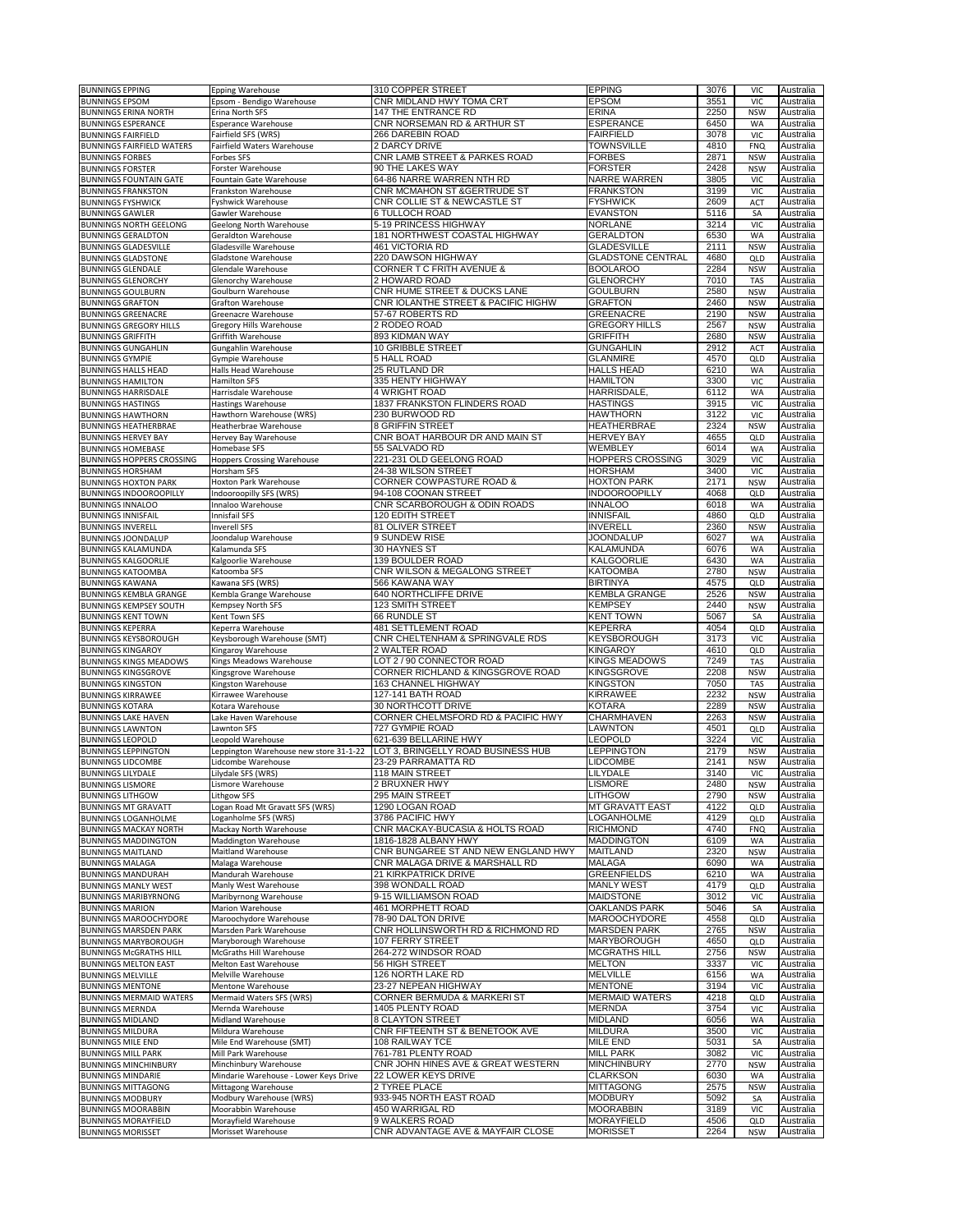| <b>BUNNINGS EPPING</b> |                                  | Epping Warehouse                       | 310 COPPER STREET                    | <b>EPPING</b>            | 3076 | VIC        | Australia |
|------------------------|----------------------------------|----------------------------------------|--------------------------------------|--------------------------|------|------------|-----------|
| <b>BUNNINGS EPSOM</b>  |                                  | Epsom - Bendigo Warehouse              | CNR MIDLAND HWY TOMA CRT             | <b>EPSOM</b>             | 3551 | <b>VIC</b> | Australia |
|                        | <b>BUNNINGS ERINA NORTH</b>      | Erina North SFS                        | 147 THE ENTRANCE RD                  | <b>ERINA</b>             | 2250 | <b>NSW</b> | Australia |
|                        |                                  |                                        | CNR NORSEMAN RD & ARTHUR ST          |                          | 6450 |            |           |
|                        | <b>BUNNINGS ESPERANCE</b>        | <b>Esperance Warehouse</b>             |                                      | <b>ESPERANCE</b>         |      | <b>WA</b>  | Australia |
|                        | <b>BUNNINGS FAIRFIELD</b>        | Fairfield SFS (WRS)                    | 266 DAREBIN ROAD                     | <b>FAIRFIELD</b>         | 3078 | <b>VIC</b> | Australia |
|                        | <b>BUNNINGS FAIRFIELD WATERS</b> | Fairfield Waters Warehouse             | 2 DARCY DRIVE                        | <b>TOWNSVILLE</b>        | 4810 | <b>FNQ</b> | Australia |
|                        | <b>BUNNINGS FORBES</b>           | <b>Forbes SFS</b>                      | CNR LAMB STREET & PARKES ROAD        | <b>FORBES</b>            | 2871 | <b>NSW</b> | Australia |
|                        | <b>BUNNINGS FORSTER</b>          | Forster Warehouse                      | 90 THE LAKES WAY                     | <b>FORSTER</b>           | 2428 | <b>NSW</b> | Australia |
|                        |                                  | Fountain Gate Warehouse                | 64-86 NARRE WARREN NTH RD            | NARRE WARREN             | 3805 |            |           |
|                        | <b>BUNNINGS FOUNTAIN GATE</b>    |                                        |                                      |                          |      | <b>VIC</b> | Australia |
|                        | <b>BUNNINGS FRANKSTON</b>        | Frankston Warehouse                    | CNR MCMAHON ST & GERTRUDE ST         | <b>FRANKSTON</b>         | 3199 | <b>VIC</b> | Australia |
|                        | <b>BUNNINGS FYSHWICK</b>         | Fyshwick Warehouse                     | CNR COLLIE ST & NEWCASTLE ST         | <b>FYSHWICK</b>          | 2609 | ACT        | Australia |
|                        | <b>BUNNINGS GAWLER</b>           | Gawler Warehouse                       | <b>6 TULLOCH ROAD</b>                | <b>EVANSTON</b>          | 5116 | SA         | Australia |
|                        | <b>BUNNINGS NORTH GEELONG</b>    | <b>Geelong North Warehouse</b>         | 5-19 PRINCESS HIGHWAY                | <b>NORLANE</b>           | 3214 | <b>VIC</b> | Australia |
|                        |                                  |                                        | 181 NORTHWEST COASTAL HIGHWAY        | <b>GERALDTON</b>         | 6530 |            |           |
|                        | <b>BUNNINGS GERALDTON</b>        | Geraldton Warehouse                    |                                      |                          |      | WA         | Australia |
|                        | <b>BUNNINGS GLADESVILLE</b>      | Gladesville Warehouse                  | 461 VICTORIA RD                      | <b>GLADESVILLE</b>       | 2111 | <b>NSW</b> | Australia |
|                        | <b>BUNNINGS GLADSTONE</b>        | Gladstone Warehouse                    | 220 DAWSON HIGHWAY                   | <b>GLADSTONE CENTRAL</b> | 4680 | QLD        | Australia |
|                        | <b>BUNNINGS GLENDALE</b>         | Glendale Warehouse                     | <b>CORNER T C FRITH AVENUE &amp;</b> | <b>BOOLAROO</b>          | 2284 | <b>NSW</b> | Australia |
|                        | <b>BUNNINGS GLENORCHY</b>        | <b>Glenorchy Warehouse</b>             | 2 HOWARD ROAD                        | <b>GLENORCHY</b>         | 7010 | TAS        | Australia |
|                        |                                  |                                        |                                      | <b>GOULBURN</b>          |      |            |           |
|                        | <b>BUNNINGS GOULBURN</b>         | Goulburn Warehouse                     | CNR HUME STREET & DUCKS LANE         |                          | 2580 | <b>NSW</b> | Australia |
|                        | <b>BUNNINGS GRAFTON</b>          | Grafton Warehouse                      | CNR IOLANTHE STREET & PACIFIC HIGHW  | <b>GRAFTON</b>           | 2460 | <b>NSW</b> | Australia |
|                        | <b>BUNNINGS GREENACRE</b>        | Greenacre Warehouse                    | 57-67 ROBERTS RD                     | <b>GREENACRE</b>         | 2190 | <b>NSW</b> | Australia |
|                        | <b>BUNNINGS GREGORY HILLS</b>    | <b>Gregory Hills Warehouse</b>         | 2 RODEO ROAD                         | <b>GREGORY HILLS</b>     | 2567 | <b>NSW</b> | Australia |
|                        | <b>BUNNINGS GRIFFITH</b>         | Griffith Warehouse                     | 893 KIDMAN WAY                       | <b>GRIFFITH</b>          | 2680 | <b>NSW</b> | Australia |
|                        |                                  |                                        |                                      |                          |      |            |           |
|                        | <b>BUNNINGS GUNGAHLIN</b>        | Gungahlin Warehouse                    | 10 GRIBBLE STREET                    | <b>GUNGAHLIN</b>         | 2912 | ACT        | Australia |
|                        | <b>BUNNINGS GYMPIE</b>           | Gympie Warehouse                       | <b>5 HALL ROAD</b>                   | <b>GLANMIRE</b>          | 4570 | QLD        | Australia |
|                        | <b>BUNNINGS HALLS HEAD</b>       | Halls Head Warehouse                   | 25 RUTLAND DR                        | <b>HALLS HEAD</b>        | 6210 | WA         | Australia |
|                        | <b>BUNNINGS HAMILTON</b>         | <b>Hamilton SFS</b>                    | 335 HENTY HIGHWAY                    | <b>HAMILTON</b>          | 3300 | <b>VIC</b> | Australia |
|                        | <b>BUNNINGS HARRISDALE</b>       | Harrisdale Warehouse                   | <b>4 WRIGHT ROAD</b>                 | <b>HARRISDALE.</b>       | 6112 | <b>WA</b>  | Australia |
|                        |                                  |                                        |                                      |                          |      |            |           |
|                        | <b>BUNNINGS HASTINGS</b>         | <b>Hastings Warehouse</b>              | 1837 FRANKSTON FLINDERS ROAD         | <b>HASTINGS</b>          | 3915 | <b>VIC</b> | Australia |
|                        | <b>BUNNINGS HAWTHORN</b>         | Hawthorn Warehouse (WRS)               | 230 BURWOOD RD                       | <b>HAWTHORN</b>          | 3122 | <b>VIC</b> | Australia |
|                        | <b>BUNNINGS HEATHERBRAE</b>      | Heatherbrae Warehouse                  | 8 GRIFFIN STREET                     | <b>HEATHERBRAE</b>       | 2324 | <b>NSW</b> | Australia |
|                        | <b>BUNNINGS HERVEY BAY</b>       | Hervey Bay Warehouse                   | CNR BOAT HARBOUR DR AND MAIN ST      | <b>HERVEY BAY</b>        | 4655 | QLD        | Australia |
|                        | <b>BUNNINGS HOMEBASE</b>         |                                        | 55 SALVADO RD                        | WEMBLEY                  | 6014 |            | Australia |
|                        |                                  | Homebase SFS                           |                                      |                          |      | <b>WA</b>  |           |
|                        | <b>BUNNINGS HOPPERS CROSSING</b> | <b>Hoppers Crossing Warehouse</b>      | 221-231 OLD GEELONG ROAD             | <b>HOPPERS CROSSING</b>  | 3029 | <b>VIC</b> | Australia |
|                        | <b>BUNNINGS HORSHAM</b>          | Horsham SFS                            | 24-38 WILSON STREET                  | <b>HORSHAM</b>           | 3400 | <b>VIC</b> | Australia |
|                        | <b>BUNNINGS HOXTON PARK</b>      | Hoxton Park Warehouse                  | <b>CORNER COWPASTURE ROAD &amp;</b>  | <b>HOXTON PARK</b>       | 2171 | <b>NSW</b> | Australia |
|                        | <b>BUNNINGS INDOOROOPILLY</b>    | <b>Indooroopilly SFS (WRS)</b>         | 94-108 COONAN STREET                 | <b>INDOOROOPILLY</b>     | 4068 | QLD        | Australia |
|                        |                                  | Innaloo Warehouse                      | CNR SCARBOROUGH & ODIN ROADS         | <b>INNALOO</b>           | 6018 |            |           |
|                        | <b>BUNNINGS INNALOO</b>          |                                        |                                      |                          |      | WA         | Australia |
|                        | <b>BUNNINGS INNISFAIL</b>        | <b>Innisfail SFS</b>                   | <b>120 EDITH STREET</b>              | <b>INNISFAIL</b>         | 4860 | QLD        | Australia |
|                        | <b>BUNNINGS INVERELL</b>         | <b>Inverell SFS</b>                    | 81 OLIVER STREET                     | <b>INVERELL</b>          | 2360 | <b>NSW</b> | Australia |
|                        | <b>BUNNINGS JOONDALUP</b>        | Joondalup Warehouse                    | 9 SUNDEW RISE                        | <b>JOONDALUP</b>         | 6027 | WA         | Australia |
|                        | BUNNINGS KALAMUNDA               | Kalamunda SFS                          | 30 HAYNES ST                         | KALAMUNDA                | 6076 | <b>WA</b>  | Australia |
|                        |                                  |                                        |                                      |                          |      |            |           |
|                        | <b>BUNNINGS KALGOORLIE</b>       | Kalgoorlie Warehouse                   | 139 BOULDER ROAD                     | <b>KALGOORLIE</b>        | 6430 | WA         | Australia |
|                        | <b>BUNNINGS KATOOMBA</b>         | Katoomba SFS                           | CNR WILSON & MEGALONG STREET         | <b>KATOOMBA</b>          | 2780 | <b>NSW</b> | Australia |
|                        | BUNNINGS KAWANA                  | Kawana SFS (WRS)                       | 566 KAWANA WAY                       | <b>BIRTINYA</b>          | 4575 | QLD        | Australia |
|                        | BUNNINGS KEMBLA GRANGE           | Kembla Grange Warehouse                | 640 NORTHCLIFFE DRIVE                | <b>KEMBLA GRANGE</b>     | 2526 | <b>NSW</b> | Australia |
|                        | BUNNINGS KEMPSEY SOUTH           | Kempsey North SFS                      | 123 SMITH STREET                     | <b>KEMPSEY</b>           | 2440 | <b>NSW</b> | Australia |
|                        |                                  |                                        |                                      |                          |      |            |           |
|                        | <b>BUNNINGS KENT TOWN</b>        | Kent Town SFS                          | 66 RUNDLE ST                         | <b>KENT TOWN</b>         | 5067 | SA         | Australia |
|                        | <b>BUNNINGS KEPERRA</b>          | Keperra Warehouse                      | 481 SETTLEMENT ROAD                  | <b>KEPERRA</b>           | 4054 | QLD        | Australia |
|                        | BUNNINGS KEYSBOROUGH             | Keysborough Warehouse (SMT)            | CNR CHELTENHAM & SPRINGVALE RDS      | KEYSBOROUGH              | 3173 | <b>VIC</b> | Australia |
|                        | <b>BUNNINGS KINGAROY</b>         | Kingaroy Warehouse                     | 2 WALTER ROAD                        | <b>KINGAROY</b>          | 4610 | QLD        | Australia |
|                        |                                  |                                        | LOT 2 / 90 CONNECTOR ROAD            | <b>KINGS MEADOWS</b>     | 7249 | TAS        |           |
|                        | <b>BUNNINGS KINGS MEADOWS</b>    | Kings Meadows Warehouse                |                                      |                          |      |            | Australia |
|                        | BUNNINGS KINGSGROVE              | Kingsgrove Warehouse                   | CORNER RICHLAND & KINGSGROVE ROAD    | <b>KINGSGROVE</b>        | 2208 | <b>NSW</b> | Australia |
|                        | <b>BUNNINGS KINGSTON</b>         | Kingston Warehouse                     | 163 CHANNEL HIGHWAY                  | <b>KINGSTON</b>          | 7050 | TAS        | Australia |
|                        | <b>BUNNINGS KIRRAWEE</b>         | Kirrawee Warehouse                     | 127-141 BATH ROAD                    | <b>KIRRAWEE</b>          | 2232 | <b>NSW</b> | Australia |
|                        | <b>BUNNINGS KOTARA</b>           | Kotara Warehouse                       | 30 NORTHCOTT DRIVE                   | <b>KOTARA</b>            | 2289 | <b>NSW</b> | Australia |
|                        | <b>BUNNINGS LAKE HAVEN</b>       |                                        | CORNER CHELMSFORD RD & PACIFIC HWY   | CHARMHAVEN               | 2263 | <b>NSW</b> | Australia |
|                        |                                  | Lake Haven Warehouse                   |                                      |                          |      |            |           |
|                        | <b>BUNNINGS LAWNTON</b>          | Lawnton SFS                            | 727 GYMPIE ROAD                      | <b>LAWNTON</b>           | 4501 | QLD        | Australia |
|                        | <b>BUNNINGS LEOPOLD</b>          | Leopold Warehouse                      | 621-639 BELLARINE HWY                | <b>LEOPOLD</b>           | 3224 | <b>VIC</b> | Australia |
|                        | <b>BUNNINGS LEPPINGTON</b>       | Leppington Warehouse new store 31-1-22 | LOT 3, BRINGELLY ROAD BUSINESS HUB   | <b>LEPPINGTON</b>        | 2179 | <b>NSW</b> | Australia |
|                        | <b>BUNNINGS LIDCOMBE</b>         | Lidcombe Warehouse                     | 23-29 PARRAMATTA RD                  | <b>LIDCOMBE</b>          | 2141 | <b>NSW</b> | Australia |
|                        |                                  |                                        | 118 MAIN STREET                      | <b>LILYDALE</b>          | 3140 |            |           |
|                        | <b>BUNNINGS LILYDALE</b>         | Lilydale SFS (WRS)                     |                                      |                          |      | VIC        | Australia |
|                        | BUNNINGS LISMORE                 | Lismore Warehouse                      | 2 BRUXNER HWY                        | <b>LISMORE</b>           | 2480 | <b>NSW</b> | Australia |
|                        | <b>BUNNINGS LITHGOW</b>          | Lithgow SFS                            | 295 MAIN STREET                      | <b>LITHGOW</b>           | 2790 | <b>NSW</b> | Australia |
|                        | <b>BUNNINGS MT GRAVATT</b>       | Logan Road Mt Gravatt SFS (WRS)        | 1290 LOGAN ROAD                      | MT GRAVATT EAST          | 4122 | QLD        | Australia |
|                        | <b>BUNNINGS LOGANHOLME</b>       | Loganholme SFS (WRS)                   | 3786 PACIFIC HWY                     | LOGANHOLME               | 4129 | QLD        | Australia |
|                        | <b>BUNNINGS MACKAY NORTH</b>     | Mackay North Warehouse                 | CNR MACKAY-BUCASIA & HOLTS ROAD      | <b>RICHMOND</b>          | 4740 | <b>FNQ</b> | Australia |
|                        |                                  |                                        |                                      | <b>MADDINGTON</b>        |      |            |           |
|                        | <b>BUNNINGS MADDINGTON</b>       | Maddington Warehouse                   | 1816-1828 ALBANY HWY                 |                          | 6109 | WA         | Australia |
|                        | <b>BUNNINGS MAITLAND</b>         | Maitland Warehouse                     | CNR BUNGAREE ST AND NEW ENGLAND HWY  | <b>MAITLAND</b>          | 2320 | <b>NSW</b> | Australia |
|                        | <b>BUNNINGS MALAGA</b>           | Malaga Warehouse                       | CNR MALAGA DRIVE & MARSHALL RD       | <b>MALAGA</b>            | 6090 | WA         | Australia |
|                        | <b>BUNNINGS MANDURAH</b>         | Mandurah Warehouse                     | <b>21 KIRKPATRICK DRIVE</b>          | <b>GREENFIELDS</b>       | 6210 | WA         | Australia |
|                        | <b>BUNNINGS MANLY WEST</b>       | Manly West Warehouse                   | 398 WONDALL ROAD                     | <b>MANLY WEST</b>        | 4179 | QLD        | Australia |
|                        |                                  | Maribyrnong Warehouse                  | 9-15 WILLIAMSON ROAD                 | <b>MAIDSTONE</b>         | 3012 |            |           |
|                        | <b>BUNNINGS MARIBYRNONG</b>      |                                        |                                      |                          |      | VIC        | Australia |
|                        | <b>BUNNINGS MARION</b>           | Marion Warehouse                       | 461 MORPHETT ROAD                    | <b>OAKLANDS PARK</b>     | 5046 | SA         | Australia |
|                        | <b>BUNNINGS MAROOCHYDORE</b>     | Maroochydore Warehouse                 | 78-90 DALTON DRIVE                   | <b>MAROOCHYDORE</b>      | 4558 | <b>QLD</b> | Australia |
|                        | <b>BUNNINGS MARSDEN PARK</b>     | Marsden Park Warehouse                 | CNR HOLLINSWORTH RD & RICHMOND RD    | <b>MARSDEN PARK</b>      | 2765 | <b>NSW</b> | Australia |
|                        | <b>BUNNINGS MARYBOROUGH</b>      | Maryborough Warehouse                  | <b>107 FERRY STREET</b>              | MARYBOROUGH              | 4650 | QLD        | Australia |
|                        |                                  |                                        |                                      |                          | 2756 |            |           |
|                        | <b>BUNNINGS McGRATHS HILL</b>    | McGraths Hill Warehouse                | 264-272 WINDSOR ROAD                 | <b>MCGRATHS HILL</b>     |      | <b>NSW</b> | Australia |
|                        | <b>BUNNINGS MELTON EAST</b>      | Melton East Warehouse                  | 56 HIGH STREET                       | <b>MELTON</b>            | 3337 | <b>VIC</b> | Australia |
|                        | <b>BUNNINGS MELVILLE</b>         | Melville Warehouse                     | 126 NORTH LAKE RD                    | <b>MELVILLE</b>          | 6156 | WA         | Australia |
|                        | <b>BUNNINGS MENTONE</b>          | Mentone Warehouse                      | 23-27 NEPEAN HIGHWAY                 | <b>MENTONE</b>           | 3194 | VIC        | Australia |
|                        | BUNNINGS MERMAID WATERS          | Mermaid Waters SFS (WRS)               | CORNER BERMUDA & MARKERI ST          | <b>MERMAID WATERS</b>    | 4218 | QLD        | Australia |
|                        |                                  |                                        |                                      |                          |      |            |           |
|                        | <b>BUNNINGS MERNDA</b>           | Mernda Warehouse                       | 1405 PLENTY ROAD                     | <b>MERNDA</b>            | 3754 | <b>VIC</b> | Australia |
|                        | <b>BUNNINGS MIDLAND</b>          | Midland Warehouse                      | 8 CLAYTON STREET                     | <b>MIDLAND</b>           | 6056 | <b>WA</b>  | Australia |
|                        | <b>BUNNINGS MILDURA</b>          | Mildura Warehouse                      | CNR FIFTEENTH ST & BENETOOK AVE      | <b>MILDURA</b>           | 3500 | VIC        | Australia |
|                        | <b>BUNNINGS MILE END</b>         | Mile End Warehouse (SMT)               | 108 RAILWAY TCE                      | <b>MILE END</b>          | 5031 | SA         | Australia |
|                        | <b>BUNNINGS MILL PARK</b>        | Mill Park Warehouse                    | 761-781 PLENTY ROAD                  | <b>MILL PARK</b>         | 3082 | VIC        | Australia |
|                        |                                  |                                        |                                      |                          |      |            |           |
|                        | <b>BUNNINGS MINCHINBURY</b>      | Minchinbury Warehouse                  | CNR JOHN HINES AVE & GREAT WESTERN   | <b>MINCHINBURY</b>       | 2770 | <b>NSW</b> | Australia |
|                        | <b>BUNNINGS MINDARIE</b>         | Mindarie Warehouse - Lower Keys Drive  | 22 LOWER KEYS DRIVE                  | <b>CLARKSON</b>          | 6030 | WA         | Australia |
|                        | <b>BUNNINGS MITTAGONG</b>        | Mittagong Warehouse                    | 2 TYREE PLACE                        | <b>MITTAGONG</b>         | 2575 | <b>NSW</b> | Australia |
|                        | <b>BUNNINGS MODBURY</b>          | Modbury Warehouse (WRS)                | 933-945 NORTH EAST ROAD              | <b>MODBURY</b>           | 5092 | SA         | Australia |
|                        |                                  | Moorabbin Warehouse                    | 450 WARRIGAL RD                      | <b>MOORABBIN</b>         | 3189 | <b>VIC</b> | Australia |
|                        | <b>BUNNINGS MOORABBIN</b>        |                                        |                                      |                          |      |            |           |
|                        | BUNNINGS MORAYFIELD              | Morayfield Warehouse                   | 9 WALKERS ROAD                       | <b>MORAYFIELD</b>        | 4506 | QLD        | Australia |
|                        | <b>BUNNINGS MORISSET</b>         | Morisset Warehouse                     | CNR ADVANTAGE AVE & MAYFAIR CLOSE    | <b>MORISSET</b>          | 2264 | <b>NSW</b> | Australia |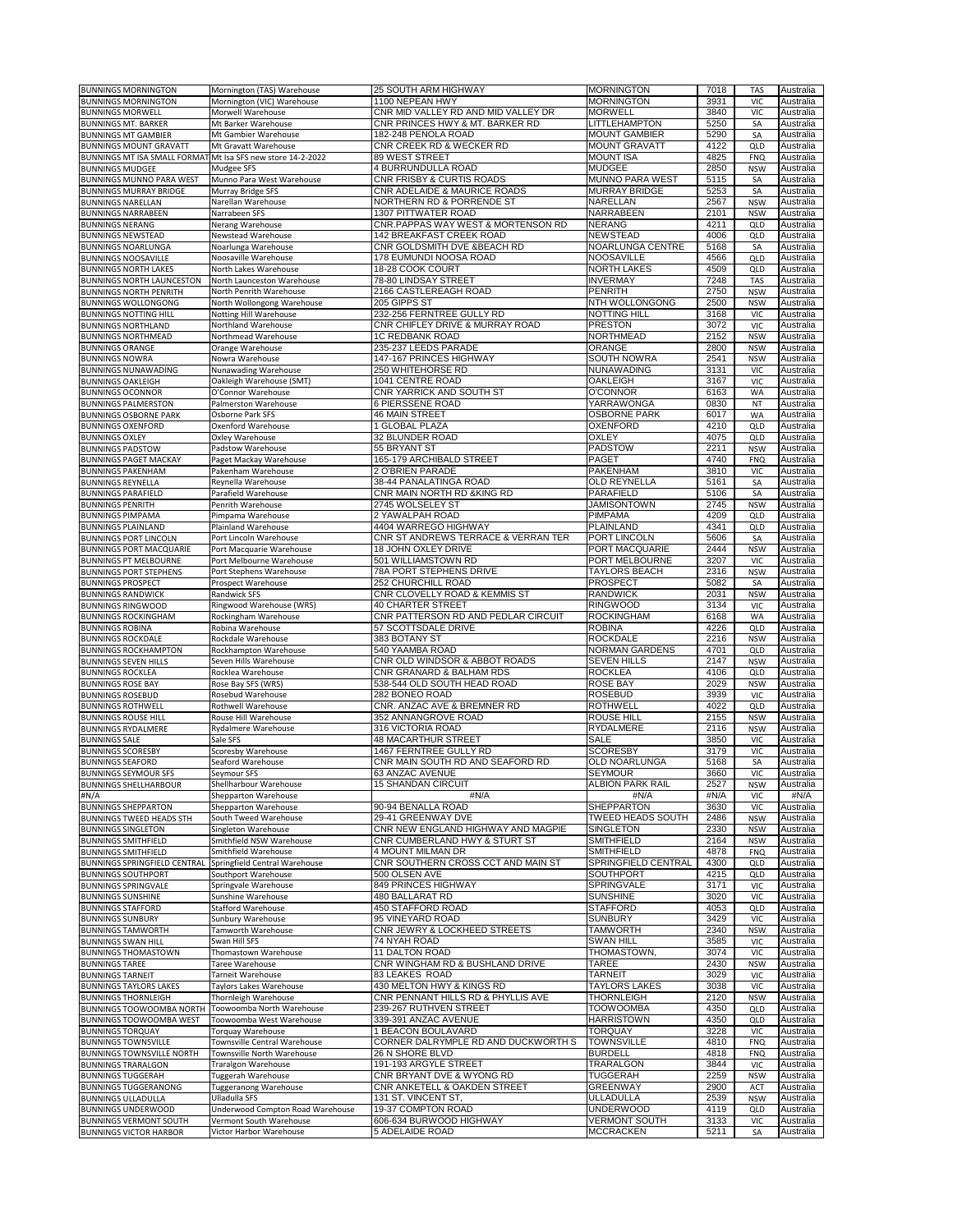|                        | BUNNINGS MORNINGTON                                     | Mornington (TAS) Warehouse                                  | 25 SOUTH ARM HIGHWAY                       | <b>MORNINGTON</b>                        | 7018         | TAS               | Australia              |
|------------------------|---------------------------------------------------------|-------------------------------------------------------------|--------------------------------------------|------------------------------------------|--------------|-------------------|------------------------|
|                        | <b>BUNNINGS MORNINGTON</b>                              | Mornington (VIC) Warehouse                                  | 1100 NEPEAN HWY                            | <b>MORNINGTON</b>                        | 3931         | VIC               | Australia              |
|                        | <b>BUNNINGS MORWELL</b>                                 | Morwell Warehouse                                           | CNR MID VALLEY RD AND MID VALLEY DR        | <b>MORWELL</b>                           | 3840         | <b>VIC</b>        | Australia              |
|                        | <b>BUNNINGS MT. BARKER</b>                              | Mt Barker Warehouse                                         | CNR PRINCES HWY & MT. BARKER RD            | <b>LITTLEHAMPTON</b>                     | 5250         | SA                | Australia              |
|                        | <b>BUNNINGS MT GAMBIER</b>                              | Mt Gambier Warehouse                                        | 182-248 PENOLA ROAD                        | <b>MOUNT GAMBIER</b>                     | 5290         | SA                | Australia              |
|                        | <b>BUNNINGS MOUNT GRAVATT</b>                           | Mt Gravatt Warehouse                                        | CNR CREEK RD & WECKER RD                   | <b>MOUNT GRAVATT</b>                     | 4122         | QLD               | Australia              |
|                        |                                                         | BUNNINGS MT ISA SMALL FORMAT Mt Isa SFS new store 14-2-2022 | 89 WEST STREET                             | <b>MOUNT ISA</b>                         | 4825         | <b>FNQ</b>        | Australia              |
|                        | <b>BUNNINGS MUDGEE</b>                                  | Mudgee SFS                                                  | 4 BURRUNDULLA ROAD                         | <b>MUDGEE</b>                            | 2850         | <b>NSW</b>        | Australia              |
|                        | <b>BUNNINGS MUNNO PARA WEST</b>                         | Munno Para West Warehouse                                   | CNR FRISBY & CURTIS ROADS                  | <b>MUNNO PARA WEST</b>                   | 5115         | SA                | Australia              |
|                        | BUNNINGS MURRAY BRIDGE                                  | Murray Bridge SFS                                           | CNR ADELAIDE & MAURICE ROADS               | <b>MURRAY BRIDGE</b>                     | 5253         | SA                | Australia              |
|                        |                                                         |                                                             |                                            |                                          | 2567         |                   |                        |
|                        | <b>BUNNINGS NARELLAN</b>                                | Narellan Warehouse                                          | NORTHERN RD & PORRENDE ST                  | NARELLAN                                 |              | <b>NSW</b>        | Australia              |
|                        | <b>BUNNINGS NARRABEEN</b>                               | Narrabeen SFS                                               | 1307 PITTWATER ROAD                        | NARRABEEN                                | 2101         | <b>NSW</b>        | Australia              |
|                        | <b>BUNNINGS NERANG</b>                                  | Nerang Warehouse                                            | CNR.PAPPAS WAY WEST & MORTENSON RD         | <b>NERANG</b>                            | 4211         | <b>QLD</b>        | Australia              |
|                        | <b>BUNNINGS NEWSTEAD</b>                                | Newstead Warehouse                                          | 142 BREAKFAST CREEK ROAD                   | <b>NEWSTEAD</b>                          | 4006         | QLD               | Australia              |
|                        | BUNNINGS NOARLUNGA                                      | Noarlunga Warehouse                                         | CNR GOLDSMITH DVE &BEACH RD                | NOARLUNGA CENTRE                         | 5168         | SA                | Australia              |
|                        | BUNNINGS NOOSAVILLE                                     | Noosaville Warehouse                                        | 178 EUMUNDI NOOSA ROAD                     | <b>NOOSAVILLE</b>                        | 4566         | QLD               | Australia              |
|                        | <b>BUNNINGS NORTH LAKES</b>                             | North Lakes Warehouse                                       | 18-28 COOK COURT                           | <b>NORTH LAKES</b>                       | 4509         | QLD               | Australia              |
|                        | <b>BUNNINGS NORTH LAUNCESTON</b>                        | North Launceston Warehouse                                  | 78-80 LINDSAY STREET                       | <b>INVERMAY</b>                          | 7248         | <b>TAS</b>        | Australia              |
|                        | <b>BUNNINGS NORTH PENRITH</b>                           | North Penrith Warehouse                                     | 2166 CASTLEREAGH ROAD                      | <b>PENRITH</b>                           | 2750         | <b>NSW</b>        | Australia              |
|                        | BUNNINGS WOLLONGONG                                     | North Wollongong Warehouse                                  | 205 GIPPS ST                               | NTH WOLLONGONG                           | 2500         | <b>NSW</b>        | Australia              |
|                        | <b>BUNNINGS NOTTING HILL</b>                            | Notting Hill Warehouse                                      | 232-256 FERNTREE GULLY RD                  | <b>NOTTING HILL</b>                      | 3168         | <b>VIC</b>        | Australia              |
|                        | <b>BUNNINGS NORTHLAND</b>                               | Northland Warehouse                                         | CNR CHIFLEY DRIVE & MURRAY ROAD            | <b>PRESTON</b>                           | 3072         | <b>VIC</b>        | Australia              |
|                        | <b>BUNNINGS NORTHMEAD</b>                               | Northmead Warehouse                                         | 1C REDBANK ROAD                            | <b>NORTHMEAD</b>                         | 2152         | <b>NSW</b>        | Australia              |
|                        | <b>BUNNINGS ORANGE</b>                                  | Orange Warehouse                                            | 235-237 LEEDS PARADE                       | ORANGE                                   | 2800         | <b>NSW</b>        | Australia              |
|                        | <b>BUNNINGS NOWRA</b>                                   | Nowra Warehouse                                             | 147-167 PRINCES HIGHWAY                    | <b>SOUTH NOWRA</b>                       | 2541         | <b>NSW</b>        | Australia              |
|                        | BUNNINGS NUNAWADING                                     | Nunawading Warehouse                                        | 250 WHITEHORSE RD                          | <b>NUNAWADING</b>                        | 3131         | <b>VIC</b>        | Australia              |
|                        | <b>BUNNINGS OAKLEIGH</b>                                | Oakleigh Warehouse (SMT)                                    | 1041 CENTRE ROAD                           | <b>OAKLEIGH</b>                          | 3167         | <b>VIC</b>        | Australia              |
|                        | <b>BUNNINGS OCONNOR</b>                                 | O'Connor Warehouse                                          | CNR YARRICK AND SOUTH ST                   | <b>O'CONNOR</b>                          | 6163         | WA                | Australia              |
|                        | <b>BUNNINGS PALMERSTON</b>                              | Palmerston Warehouse                                        | 6 PIERSSENE ROAD                           | YARRAWONGA                               | 0830         | NT                | Australia              |
|                        |                                                         | Osborne Park SFS                                            | 46 MAIN STREET                             | <b>OSBORNE PARK</b>                      | 6017         | WA                |                        |
|                        | <b>BUNNINGS OSBORNE PARK</b>                            |                                                             |                                            |                                          |              |                   | Australia              |
|                        | <b>BUNNINGS OXENFORD</b>                                | Oxenford Warehouse                                          | 1 GLOBAL PLAZA                             | <b>OXENFORD</b>                          | 4210         | QLD               | Australia              |
| <b>BUNNINGS OXLEY</b>  |                                                         | Oxley Warehouse                                             | 32 BLUNDER ROAD                            | <b>OXLEY</b>                             | 4075         | QLD               | Australia              |
|                        | <b>BUNNINGS PADSTOW</b>                                 | Padstow Warehouse                                           | 55 BRYANT ST                               | <b>PADSTOW</b>                           | 2211         | <b>NSW</b>        | Australia              |
|                        | <b>BUNNINGS PAGET MACKAY</b>                            | Paget Mackay Warehouse                                      | 165-179 ARCHIBALD STREET                   | PAGET                                    | 4740         | <b>FNQ</b>        | Australia              |
|                        | <b>BUNNINGS PAKENHAM</b>                                | Pakenham Warehouse                                          | <b>2 O'BRIEN PARADE</b>                    | <b>PAKENHAM</b>                          | 3810         | <b>VIC</b>        | Australia              |
|                        | <b>BUNNINGS REYNELLA</b>                                | Reynella Warehouse                                          | 38-44 PANALATINGA ROAD                     | <b>OLD REYNELLA</b>                      | 5161         | SA                | Australia              |
|                        | <b>BUNNINGS PARAFIELD</b>                               | Parafield Warehouse                                         | CNR MAIN NORTH RD & KING RD                | <b>PARAFIELD</b>                         | 5106         | SA                | Australia              |
|                        | <b>BUNNINGS PENRITH</b>                                 | Penrith Warehouse                                           | 2745 WOLSELEY ST                           | <b>JAMISONTOWN</b>                       | 2745         | <b>NSW</b>        | Australia              |
|                        | <b>BUNNINGS PIMPAMA</b>                                 | Pimpama Warehouse                                           | 2 YAWALPAH ROAD                            | <b>PIMPAMA</b>                           | 4209         | QLD               | Australia              |
|                        | <b>BUNNINGS PLAINLAND</b>                               | <b>Plainland Warehouse</b>                                  | 4404 WARREGO HIGHWAY                       | PLAINLAND                                | 4341         | QLD               | Australia              |
|                        | <b>BUNNINGS PORT LINCOLN</b>                            | Port Lincoln Warehouse                                      | CNR ST ANDREWS TERRACE & VERRAN TER        | PORT LINCOLN                             | 5606         | SA                | Australia              |
|                        | <b>BUNNINGS PORT MACQUARIE</b>                          | Port Macquarie Warehouse                                    | 18 JOHN OXLEY DRIVE                        | PORT MACQUARIE                           | 2444         | <b>NSW</b>        | Australia              |
|                        | <b>BUNNINGS PT MELBOURNE</b>                            | Port Melbourne Warehouse                                    | 501 WILLIAMSTOWN RD                        | PORT MELBOURNE                           | 3207         | <b>VIC</b>        | Australia              |
|                        | <b>BUNNINGS PORT STEPHENS</b>                           | Port Stephens Warehouse                                     | 78A PORT STEPHENS DRIVE                    | <b>TAYLORS BEACH</b>                     | 2316         | <b>NSW</b>        | Australia              |
|                        | <b>BUNNINGS PROSPECT</b>                                | Prospect Warehouse                                          | 252 CHURCHILL ROAD                         | <b>PROSPECT</b>                          | 5082         | SA                | Australia              |
|                        | <b>BUNNINGS RANDWICK</b>                                | Randwick SFS                                                | CNR CLOVELLY ROAD & KEMMIS ST              | <b>RANDWICK</b>                          | 2031         | <b>NSW</b>        | Australia              |
|                        | <b>BUNNINGS RINGWOOD</b>                                | Ringwood Warehouse (WRS)                                    | <b>40 CHARTER STREET</b>                   | <b>RINGWOOD</b>                          | 3134         | VIC               | Australia              |
|                        | <b>BUNNINGS ROCKINGHAM</b>                              | Rockingham Warehouse                                        | CNR PATTERSON RD AND PEDLAR CIRCUIT        | <b>ROCKINGHAM</b>                        | 6168         | <b>WA</b>         | Australia              |
| <b>BUNNINGS ROBINA</b> |                                                         | Robina Warehouse                                            | 57 SCOTTSDALE DRIVE                        | <b>ROBINA</b>                            | 4226         | QLD               | Australia              |
|                        |                                                         | Rockdale Warehouse                                          | 383 BOTANY ST                              | <b>ROCKDALE</b>                          | 2216         | <b>NSW</b>        | Australia              |
|                        | <b>BUNNINGS ROCKDALE</b>                                |                                                             | 540 YAAMBA ROAD                            |                                          | 4701         | QLD               |                        |
|                        | <b>BUNNINGS ROCKHAMPTON</b>                             | Rockhampton Warehouse                                       |                                            | <b>NORMAN GARDENS</b>                    |              |                   | Australia              |
|                        | <b>BUNNINGS SEVEN HILLS</b>                             | Seven Hills Warehouse                                       | CNR OLD WINDSOR & ABBOT ROADS              | <b>SEVEN HILLS</b>                       | 2147         | <b>NSW</b>        | Australia              |
|                        | <b>BUNNINGS ROCKLEA</b>                                 | Rocklea Warehouse                                           | CNR GRANARD & BALHAM RDS                   | <b>ROCKLEA</b>                           | 4106         | QLD               | Australia              |
|                        | <b>BUNNINGS ROSE BAY</b>                                | Rose Bay SFS (WRS)                                          | 538-544 OLD SOUTH HEAD ROAD                | <b>ROSE BAY</b>                          | 2029         | <b>NSW</b>        | Australia              |
|                        | <b>BUNNINGS ROSEBUD</b>                                 | Rosebud Warehouse                                           | 282 BONEO ROAD                             | <b>ROSEBUD</b>                           | 3939         | <b>VIC</b>        | Australia              |
|                        |                                                         | Rothwell Warehouse                                          | CNR. ANZAC AVE & BREMNER RD                | <b>ROTHWELL</b>                          | 4022         | QLD               | Australia              |
|                        | <b>BUNNINGS ROTHWELL</b>                                |                                                             |                                            | <b>ROUSE HILL</b>                        |              |                   |                        |
|                        | <b>BUNNINGS ROUSE HILL</b>                              | Rouse Hill Warehouse                                        | 352 ANNANGROVE ROAD                        |                                          | 2155         | <b>NSW</b>        | Australia              |
|                        | <b>BUNNINGS RYDALMERE</b>                               | Rydalmere Warehouse                                         | 316 VICTORIA ROAD                          | <b>RYDALMERE</b>                         | 2116         | <b>NSW</b>        | Australia              |
| <b>BUNNINGS SALE</b>   |                                                         | Sale SFS                                                    | <b>48 MACARTHUR STREET</b>                 | SALE                                     | 3850         | <b>VIC</b>        | Australia              |
|                        | <b>BUNNINGS SCORESBY</b>                                | Scoresby Warehouse                                          | 1467 FERNTREE GULLY RD                     | <b>SCORESBY</b>                          | 3179         | <b>VIC</b>        | Australia              |
|                        | <b>BUNNINGS SEAFORD</b>                                 | Seaford Warehouse                                           | CNR MAIN SOUTH RD AND SEAFORD RD           | OLD NOARLUNGA                            | 5168         | SA                | Australia              |
|                        | <b>BUNNINGS SEYMOUR SFS</b>                             | Seymour SFS                                                 | 63 ANZAC AVENUE                            | <b>SEYMOUR</b>                           | 3660         | <b>VIC</b>        | Australia              |
|                        | BUNNINGS SHELLHARBOUR                                   | Shellharbour Warehouse                                      | 15 SHANDAN CIRCUIT                         | ALBION PARK RAIL                         | 2527         | NSW               | Australia              |
|                        |                                                         | Shepparton Warehouse                                        | #N/A                                       | #N/A                                     | #N/A         | <b>VIC</b>        | #N/A                   |
| #N/A                   | <b>BUNNINGS SHEPPARTON</b>                              |                                                             | 90-94 BENALLA ROAD                         | <b>SHEPPARTON</b>                        | 3630         | <b>VIC</b>        | Australia              |
|                        |                                                         | Shepparton Warehouse                                        | 29-41 GREENWAY DVE                         | <b>TWEED HEADS SOUTH</b>                 | 2486         | <b>NSW</b>        |                        |
|                        | BUNNINGS TWEED HEADS STH                                | South Tweed Warehouse                                       |                                            | <b>SINGLETON</b>                         | 2330         | <b>NSW</b>        | Australia              |
|                        | <b>BUNNINGS SINGLETON</b>                               | Singleton Warehouse                                         | CNR NEW ENGLAND HIGHWAY AND MAGPIE         |                                          |              |                   | Australia              |
|                        | <b>BUNNINGS SMITHFIELD</b>                              | Smithfield NSW Warehouse                                    | CNR CUMBERLAND HWY & STURT ST              | <b>SMITHFIELD</b>                        | 2164         | <b>NSW</b>        | Australia              |
|                        | <b>BUNNINGS SMITHFIELD</b>                              | Smithfield Warehouse                                        | 4 MOUNT MILMAN DR                          | SMITHFIELD                               | 4878         | <b>FNQ</b>        | Australia              |
|                        | BUNNINGS SPRINGFIELD CENTRAL                            | Springfield Central Warehouse                               | CNR SOUTHERN CROSS CCT AND MAIN ST         | SPRINGFIELD CENTRAL                      | 4300         | QLD               | Australia              |
|                        | <b>BUNNINGS SOUTHPORT</b>                               | Southport Warehouse                                         | 500 OLSEN AVE                              | SOUTHPORT                                | 4215         | QLD               | Australia              |
|                        | <b>BUNNINGS SPRINGVALE</b>                              | Springvale Warehouse                                        | 849 PRINCES HIGHWAY                        | <b>SPRINGVALE</b>                        | 3171         | VIC               | Australia              |
|                        | <b>BUNNINGS SUNSHINE</b>                                | Sunshine Warehouse                                          | <b>480 BALLARAT RD</b>                     | <b>SUNSHINE</b>                          | 3020         | <b>VIC</b>        | Australia              |
|                        | <b>BUNNINGS STAFFORD</b>                                | <b>Stafford Warehouse</b>                                   | 450 STAFFORD ROAD                          | <b>STAFFORD</b>                          | 4053         | QLD               | Australia              |
|                        | <b>BUNNINGS SUNBURY</b>                                 | Sunbury Warehouse                                           | 95 VINEYARD ROAD                           | <b>SUNBURY</b>                           | 3429         | VIC               | Australia              |
|                        | <b>BUNNINGS TAMWORTH</b>                                | Tamworth Warehouse                                          | CNR JEWRY & LOCKHEED STREETS               | <b>TAMWORTH</b>                          | 2340         | <b>NSW</b>        | Australia              |
|                        | <b>BUNNINGS SWAN HILL</b>                               | Swan Hill SFS                                               | 74 NYAH ROAD                               | <b>SWAN HILL</b>                         | 3585         | VIC               | Australia              |
|                        | <b>BUNNINGS THOMASTOWN</b>                              | Thomastown Warehouse                                        | 11 DALTON ROAD                             | THOMASTOWN,                              | 3074         | <b>VIC</b>        | Australia              |
| <b>BUNNINGS TAREE</b>  |                                                         | Taree Warehouse                                             | CNR WINGHAM RD & BUSHLAND DRIVE            | TAREE                                    | 2430         | <b>NSW</b>        | Australia              |
|                        | <b>BUNNINGS TARNEIT</b>                                 | Tarneit Warehouse                                           | 83 LEAKES ROAD                             | <b>TARNEIT</b>                           | 3029         | VIC               | Australia              |
|                        | <b>BUNNINGS TAYLORS LAKES</b>                           | Taylors Lakes Warehouse                                     | 430 MELTON HWY & KINGS RD                  | <b>TAYLORS LAKES</b>                     | 3038         | <b>VIC</b>        | Australia              |
|                        | <b>BUNNINGS THORNLEIGH</b>                              | Thornleigh Warehouse                                        | CNR PENNANT HILLS RD & PHYLLIS AVE         | <b>THORNLEIGH</b>                        | 2120         | <b>NSW</b>        | Australia              |
|                        | BUNNINGS TOOWOOMBA NORTH                                | Toowoomba North Warehouse                                   | 239-267 RUTHVEN STREET                     | <b>TOOWOOMBA</b>                         | 4350         | QLD               | Australia              |
|                        | BUNNINGS TOOWOOMBA WEST                                 | Toowoomba West Warehouse                                    | 339-391 ANZAC AVENUE                       | <b>HARRISTOWN</b>                        | 4350         | QLD               | Australia              |
|                        | <b>BUNNINGS TORQUAY</b>                                 | Torquay Warehouse                                           | 1 BEACON BOULAVARD                         | <b>TORQUAY</b>                           | 3228         | VIC               | Australia              |
|                        | <b>BUNNINGS TOWNSVILLE</b>                              | Townsville Central Warehouse                                | CORNER DALRYMPLE RD AND DUCKWORTH S        | <b>TOWNSVILLE</b>                        | 4810         | <b>FNQ</b>        | Australia              |
|                        | BUNNINGS TOWNSVILLE NORTH                               | Townsville North Warehouse                                  | 26 N SHORE BLVD                            | <b>BURDELL</b>                           | 4818         | <b>FNQ</b>        | Australia              |
|                        | <b>BUNNINGS TRARALGON</b>                               | Traralgon Warehouse                                         | 191-193 ARGYLE STREET                      | TRARALGON                                | 3844         | <b>VIC</b>        | Australia              |
|                        |                                                         |                                                             |                                            |                                          |              |                   |                        |
|                        | <b>BUNNINGS TUGGERAH</b>                                | Tuggerah Warehouse                                          | CNR BRYANT DVE & WYONG RD                  | TUGGERAH<br><b>GREENWAY</b>              | 2259<br>2900 | <b>NSW</b><br>ACT | Australia              |
|                        | <b>BUNNINGS TUGGERANONG</b>                             | Tuggeranong Warehouse                                       | CNR ANKETELL & OAKDEN STREET               |                                          |              |                   | Australia              |
|                        | <b>BUNNINGS ULLADULLA</b>                               | Ulladulla SFS                                               | 131 ST. VINCENT ST.                        | ULLADULLA                                | 2539         | <b>NSW</b>        | Australia              |
|                        | BUNNINGS UNDERWOOD                                      | Underwood Compton Road Warehouse                            | 19-37 COMPTON ROAD                         | <b>UNDERWOOD</b>                         | 4119         | QLD               | Australia              |
|                        | BUNNINGS VERMONT SOUTH<br><b>BUNNINGS VICTOR HARBOR</b> | Vermont South Warehouse<br>Victor Harbor Warehouse          | 606-634 BURWOOD HIGHWAY<br>5 ADELAIDE ROAD | <b>VERMONT SOUTH</b><br><b>MCCRACKEN</b> | 3133<br>5211 | <b>VIC</b><br>SA  | Australia<br>Australia |